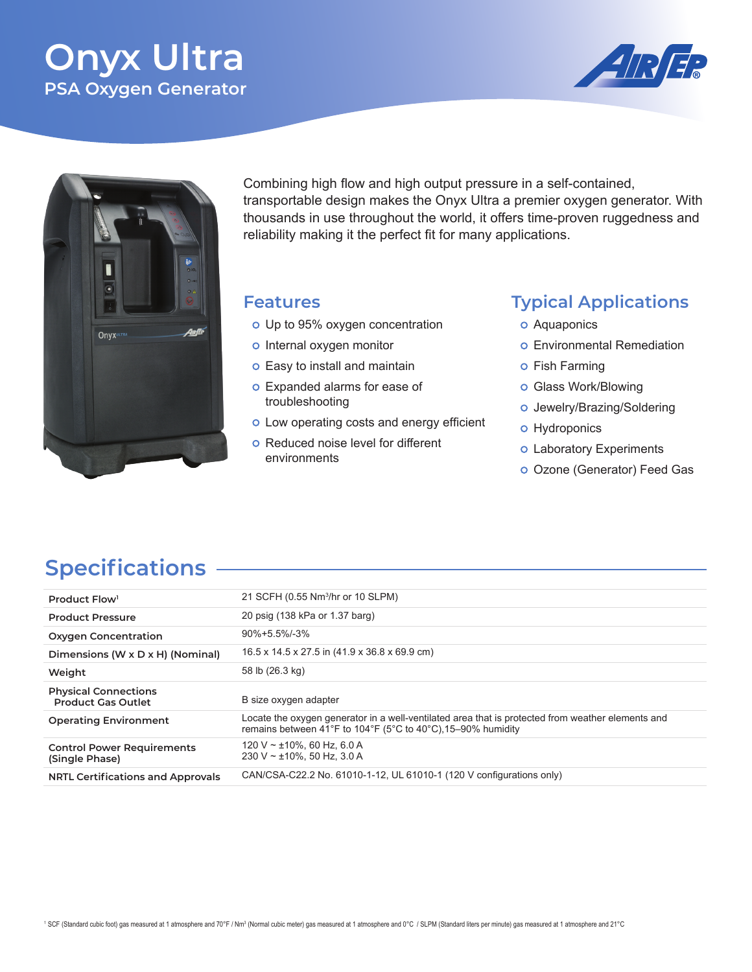# **Onyx Ultra PSA Oxygen Generator**





Combining high flow and high output pressure in a self-contained, transportable design makes the Onyx Ultra a premier oxygen generator. With thousands in use throughout the world, it offers time-proven ruggedness and reliability making it the perfect fit for many applications.

#### **Features**

- o Up to 95% oxygen concentration
- o Internal oxygen monitor
- o Easy to install and maintain
- o Expanded alarms for ease of troubleshooting
- o Low operating costs and energy efficient
- o Reduced noise level for different environments

### **Typical Applications**

- o Aquaponics
- o Environmental Remediation
- o Fish Farming
- o Glass Work/Blowing
- o Jewelry/Brazing/Soldering
- o Hydroponics
- o Laboratory Experiments
- o Ozone (Generator) Feed Gas

## **Specifications**

| Product Flow <sup>1</sup>                                | 21 SCFH (0.55 Nm <sup>3</sup> /hr or 10 SLPM)                                                                                                                     |
|----------------------------------------------------------|-------------------------------------------------------------------------------------------------------------------------------------------------------------------|
| <b>Product Pressure</b>                                  | 20 psig (138 kPa or 1.37 barg)                                                                                                                                    |
| <b>Oxygen Concentration</b>                              | $90\% + 5.5\% - 3\%$                                                                                                                                              |
| Dimensions (W x D x H) (Nominal)                         | 16.5 x 14.5 x 27.5 in (41.9 x 36.8 x 69.9 cm)                                                                                                                     |
| Weight                                                   | 58 lb (26.3 kg)                                                                                                                                                   |
| <b>Physical Connections</b><br><b>Product Gas Outlet</b> | B size oxygen adapter                                                                                                                                             |
| <b>Operating Environment</b>                             | Locate the oxygen generator in a well-ventilated area that is protected from weather elements and<br>remains between 41°F to 104°F (5°C to 40°C), 15–90% humidity |
| <b>Control Power Requirements</b><br>(Single Phase)      | 120 V ~ $\pm$ 10%, 60 Hz, 6.0 A<br>230 V $\sim$ ±10%. 50 Hz, 3.0 A                                                                                                |
| <b>NRTL Certifications and Approvals</b>                 | CAN/CSA-C22.2 No. 61010-1-12, UL 61010-1 (120 V configurations only)                                                                                              |